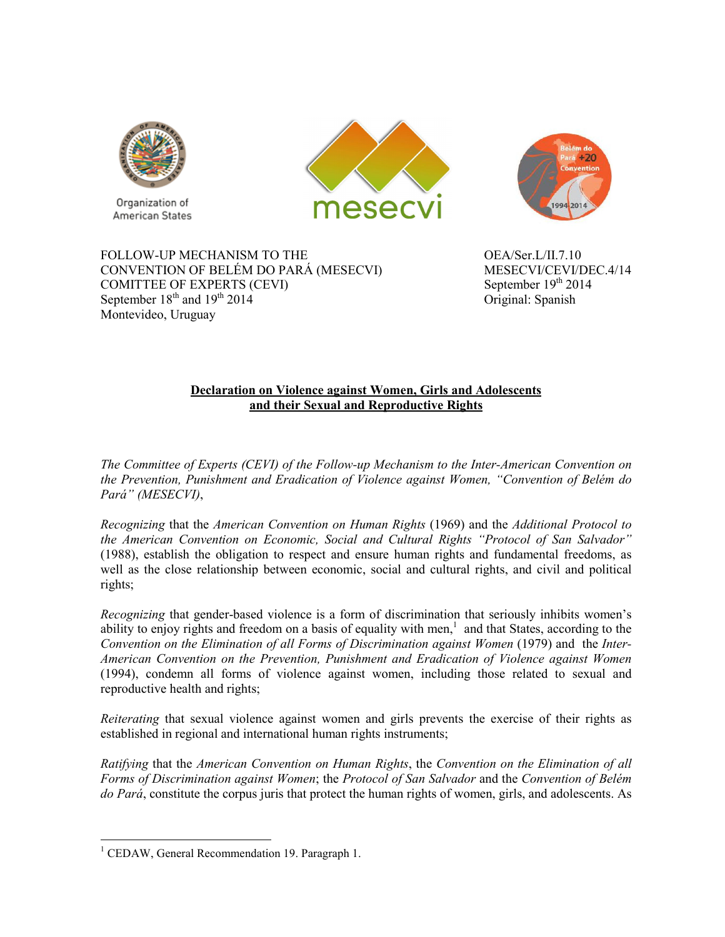

Organization of American States





FOLLOW-UP MECHANISM TO THE  $OEA/Ser.L/II.7.10$ CONVENTION OF BELÉM DO PARÁ (MESECVI) MESECVI/CEVI/DEC.4/14<br>COMITTEE OF EXPERTS (CEVI) September 19<sup>th</sup> 2014 COMITTEE OF EXPERTS (CEVI) September  $18<sup>th</sup>$  and  $19<sup>th</sup>$  2014  $O$ riginal: Spanish Montevideo, Uruguay

## **Declaration on Violence against Women, Girls and Adolescents and their Sexual and Reproductive Rights**

*The Committee of Experts (CEVI) of the Follow-up Mechanism to the Inter-American Convention on the Prevention, Punishment and Eradication of Violence against Women, "Convention of Belém do Pará" (MESECVI)*,

*Recognizing* that the *American Convention on Human Rights* (1969) and the *Additional Protocol to the American Convention on Economic, Social and Cultural Rights "Protocol of San Salvador"* (1988), establish the obligation to respect and ensure human rights and fundamental freedoms, as well as the close relationship between economic, social and cultural rights, and civil and political rights;

*Recognizing* that gender-based violence is a form of discrimination that seriously inhibits women's ability to enjoy rights and freedom on a basis of equality with men, $<sup>1</sup>$  and that States, according to the</sup> *Convention on the Elimination of all Forms of Discrimination against Women* (1979) and the *Inter-American Convention on the Prevention, Punishment and Eradication of Violence against Women* (1994), condemn all forms of violence against women, including those related to sexual and reproductive health and rights;

*Reiterating* that sexual violence against women and girls prevents the exercise of their rights as established in regional and international human rights instruments;

*Ratifying* that the *American Convention on Human Rights*, the *Convention on the Elimination of all Forms of Discrimination against Women*; the *Protocol of San Salvador* and the *Convention of Belém do Pará*, constitute the corpus juris that protect the human rights of women, girls, and adolescents. As

 1 CEDAW, General Recommendation 19. Paragraph 1.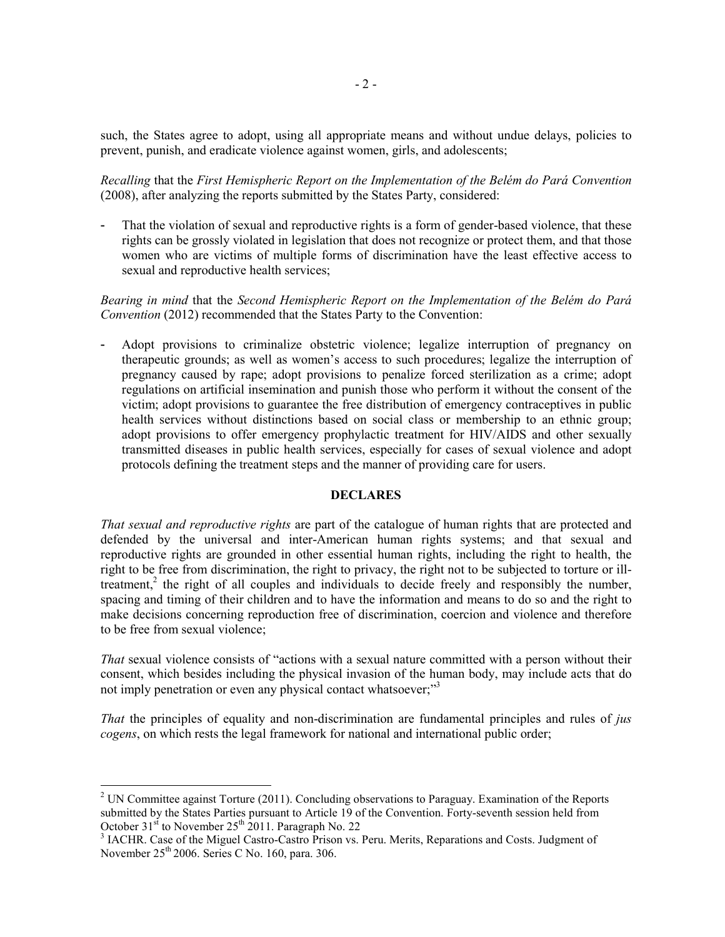such, the States agree to adopt, using all appropriate means and without undue delays, policies to prevent, punish, and eradicate violence against women, girls, and adolescents;

*Recalling* that the *First Hemispheric Report on the Implementation of the Belém do Pará Convention*  (2008), after analyzing the reports submitted by the States Party, considered:

That the violation of sexual and reproductive rights is a form of gender-based violence, that these rights can be grossly violated in legislation that does not recognize or protect them, and that those women who are victims of multiple forms of discrimination have the least effective access to sexual and reproductive health services;

*Bearing in mind* that the *Second Hemispheric Report on the Implementation of the Belém do Pará Convention* (2012) recommended that the States Party to the Convention:

- Adopt provisions to criminalize obstetric violence; legalize interruption of pregnancy on therapeutic grounds; as well as women's access to such procedures; legalize the interruption of pregnancy caused by rape; adopt provisions to penalize forced sterilization as a crime; adopt regulations on artificial insemination and punish those who perform it without the consent of the victim; adopt provisions to guarantee the free distribution of emergency contraceptives in public health services without distinctions based on social class or membership to an ethnic group; adopt provisions to offer emergency prophylactic treatment for HIV/AIDS and other sexually transmitted diseases in public health services, especially for cases of sexual violence and adopt protocols defining the treatment steps and the manner of providing care for users.

## **DECLARES**

*That sexual and reproductive rights* are part of the catalogue of human rights that are protected and defended by the universal and inter-American human rights systems; and that sexual and reproductive rights are grounded in other essential human rights, including the right to health, the right to be free from discrimination, the right to privacy, the right not to be subjected to torture or illtreatment,<sup>2</sup> the right of all couples and individuals to decide freely and responsibly the number, spacing and timing of their children and to have the information and means to do so and the right to make decisions concerning reproduction free of discrimination, coercion and violence and therefore to be free from sexual violence;

*That* sexual violence consists of "actions with a sexual nature committed with a person without their consent, which besides including the physical invasion of the human body, may include acts that do not imply penetration or even any physical contact whatsoever;"<sup>3</sup>

*That* the principles of equality and non-discrimination are fundamental principles and rules of *jus cogens*, on which rests the legal framework for national and international public order;

 $\overline{a}$ 

<sup>&</sup>lt;sup>2</sup> UN Committee against Torture (2011). Concluding observations to Paraguay. Examination of the Reports submitted by the States Parties pursuant to Article 19 of the Convention. Forty-seventh session held from October  $31<sup>st</sup>$  to November  $25<sup>th</sup>$  2011. Paragraph No. 22

<sup>&</sup>lt;sup>3</sup> IACHR. Case of the Miguel Castro-Castro Prison vs. Peru. Merits, Reparations and Costs. Judgment of November 25<sup>th</sup> 2006. Series C No. 160, para. 306.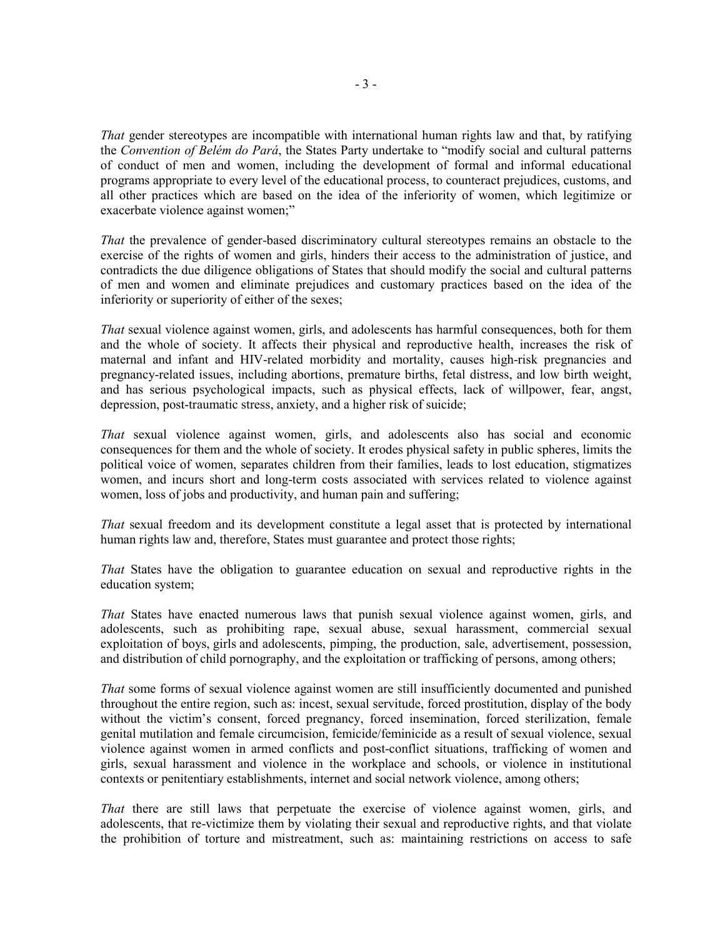*That* gender stereotypes are incompatible with international human rights law and that, by ratifying the *Convention of Belém do Pará*, the States Party undertake to "modify social and cultural patterns of conduct of men and women, including the development of formal and informal educational programs appropriate to every level of the educational process, to counteract prejudices, customs, and all other practices which are based on the idea of the inferiority of women, which legitimize or exacerbate violence against women;"

*That* the prevalence of gender-based discriminatory cultural stereotypes remains an obstacle to the exercise of the rights of women and girls, hinders their access to the administration of justice, and contradicts the due diligence obligations of States that should modify the social and cultural patterns of men and women and eliminate prejudices and customary practices based on the idea of the inferiority or superiority of either of the sexes;

*That* sexual violence against women, girls, and adolescents has harmful consequences, both for them and the whole of society. It affects their physical and reproductive health, increases the risk of maternal and infant and HIV-related morbidity and mortality, causes high-risk pregnancies and pregnancy-related issues, including abortions, premature births, fetal distress, and low birth weight, and has serious psychological impacts, such as physical effects, lack of willpower, fear, angst, depression, post-traumatic stress, anxiety, and a higher risk of suicide;

*That* sexual violence against women, girls, and adolescents also has social and economic consequences for them and the whole of society. It erodes physical safety in public spheres, limits the political voice of women, separates children from their families, leads to lost education, stigmatizes women, and incurs short and long-term costs associated with services related to violence against women, loss of jobs and productivity, and human pain and suffering;

*That* sexual freedom and its development constitute a legal asset that is protected by international human rights law and, therefore, States must guarantee and protect those rights;

*That* States have the obligation to guarantee education on sexual and reproductive rights in the education system;

*That* States have enacted numerous laws that punish sexual violence against women, girls, and adolescents, such as prohibiting rape, sexual abuse, sexual harassment, commercial sexual exploitation of boys, girls and adolescents, pimping, the production, sale, advertisement, possession, and distribution of child pornography, and the exploitation or trafficking of persons, among others;

*That* some forms of sexual violence against women are still insufficiently documented and punished throughout the entire region, such as: incest, sexual servitude, forced prostitution, display of the body without the victim's consent, forced pregnancy, forced insemination, forced sterilization, female genital mutilation and female circumcision, femicide/feminicide as a result of sexual violence, sexual violence against women in armed conflicts and post-conflict situations, trafficking of women and girls, sexual harassment and violence in the workplace and schools, or violence in institutional contexts or penitentiary establishments, internet and social network violence, among others;

*That* there are still laws that perpetuate the exercise of violence against women, girls, and adolescents, that re-victimize them by violating their sexual and reproductive rights, and that violate the prohibition of torture and mistreatment, such as: maintaining restrictions on access to safe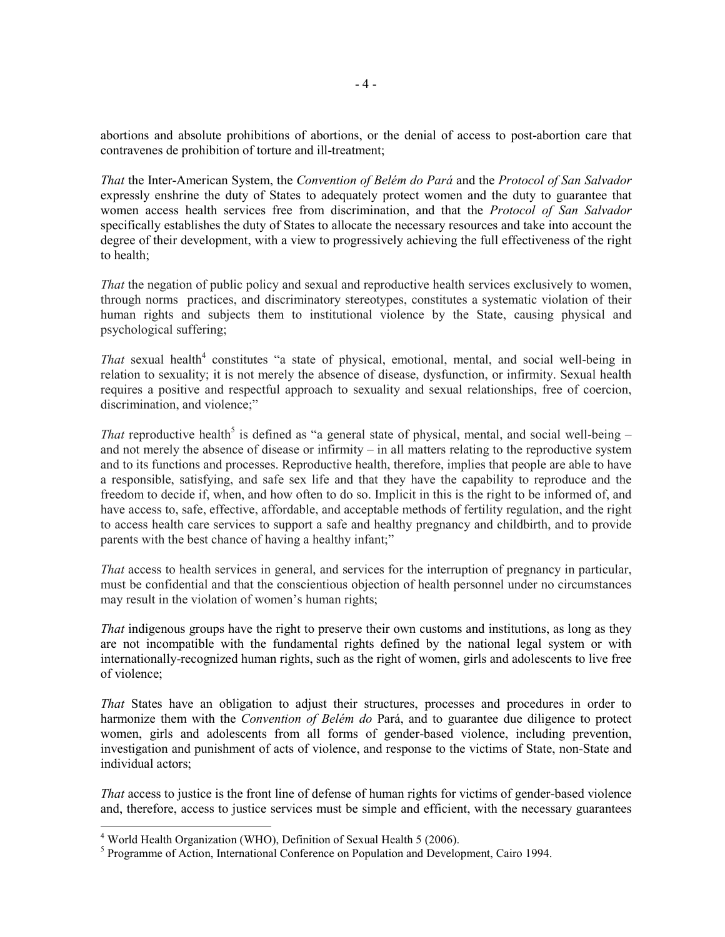abortions and absolute prohibitions of abortions, or the denial of access to post-abortion care that contravenes de prohibition of torture and ill-treatment;

*That* the Inter-American System, the *Convention of Belém do Pará* and the *Protocol of San Salvador* expressly enshrine the duty of States to adequately protect women and the duty to guarantee that women access health services free from discrimination, and that the *Protocol of San Salvador* specifically establishes the duty of States to allocate the necessary resources and take into account the degree of their development, with a view to progressively achieving the full effectiveness of the right to health;

*That* the negation of public policy and sexual and reproductive health services exclusively to women, through norms practices, and discriminatory stereotypes, constitutes a systematic violation of their human rights and subjects them to institutional violence by the State, causing physical and psychological suffering;

That sexual health<sup>4</sup> constitutes "a state of physical, emotional, mental, and social well-being in relation to sexuality; it is not merely the absence of disease, dysfunction, or infirmity. Sexual health requires a positive and respectful approach to sexuality and sexual relationships, free of coercion, discrimination, and violence;"

*That* reproductive health<sup>5</sup> is defined as "a general state of physical, mental, and social well-being  $$ and not merely the absence of disease or infirmity – in all matters relating to the reproductive system and to its functions and processes. Reproductive health, therefore, implies that people are able to have a responsible, satisfying, and safe sex life and that they have the capability to reproduce and the freedom to decide if, when, and how often to do so. Implicit in this is the right to be informed of, and have access to, safe, effective, affordable, and acceptable methods of fertility regulation, and the right to access health care services to support a safe and healthy pregnancy and childbirth, and to provide parents with the best chance of having a healthy infant;"

*That* access to health services in general, and services for the interruption of pregnancy in particular, must be confidential and that the conscientious objection of health personnel under no circumstances may result in the violation of women's human rights;

*That* indigenous groups have the right to preserve their own customs and institutions, as long as they are not incompatible with the fundamental rights defined by the national legal system or with internationally-recognized human rights, such as the right of women, girls and adolescents to live free of violence;

*That* States have an obligation to adjust their structures, processes and procedures in order to harmonize them with the *Convention of Belém do* Pará, and to guarantee due diligence to protect women, girls and adolescents from all forms of gender-based violence, including prevention, investigation and punishment of acts of violence, and response to the victims of State, non-State and individual actors;

*That* access to justice is the front line of defense of human rights for victims of gender-based violence and, therefore, access to justice services must be simple and efficient, with the necessary guarantees

 4 World Health Organization (WHO), Definition of Sexual Health 5 (2006).

<sup>&</sup>lt;sup>5</sup> Programme of Action, International Conference on Population and Development, Cairo 1994.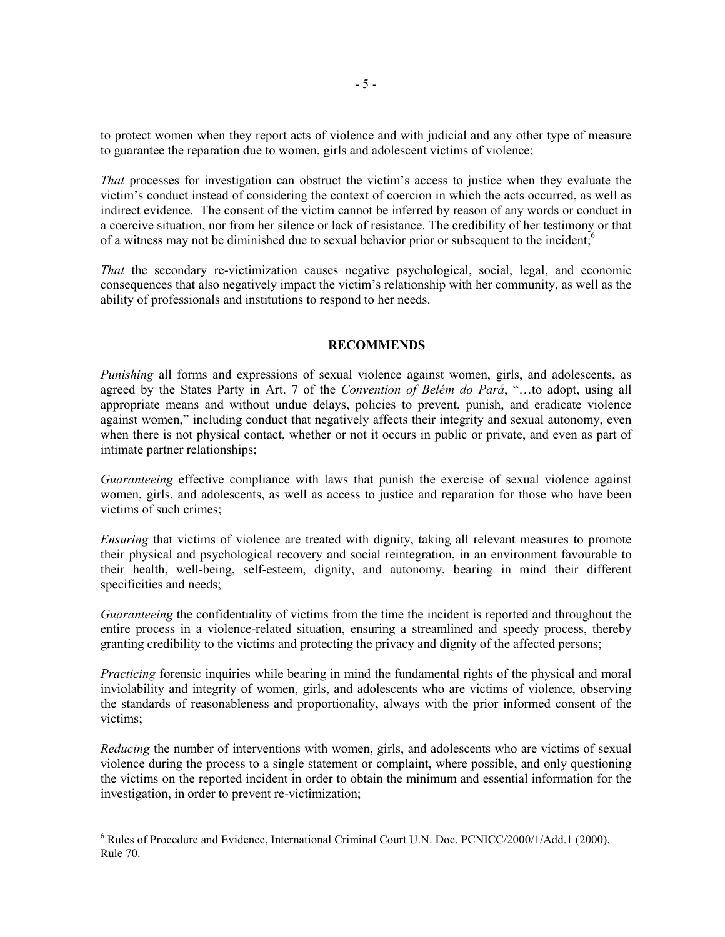to protect women when they report acts of violence and with judicial and any other type of measure to guarantee the reparation due to women, girls and adolescent victims of violence;

*That* processes for investigation can obstruct the victim's access to justice when they evaluate the victim's conduct instead of considering the context of coercion in which the acts occurred, as well as indirect evidence. The consent of the victim cannot be inferred by reason of any words or conduct in a coercive situation, nor from her silence or lack of resistance. The credibility of her testimony or that of a witness may not be diminished due to sexual behavior prior or subsequent to the incident;<sup>6</sup>

*That* the secondary re-victimization causes negative psychological, social, legal, and economic consequences that also negatively impact the victim's relationship with her community, as well as the ability of professionals and institutions to respond to her needs.

## **RECOMMENDS**

*Punishing* all forms and expressions of sexual violence against women, girls, and adolescents, as agreed by the States Party in Art. 7 of the *Convention of Belém do Pará*, "…to adopt, using all appropriate means and without undue delays, policies to prevent, punish, and eradicate violence against women," including conduct that negatively affects their integrity and sexual autonomy, even when there is not physical contact, whether or not it occurs in public or private, and even as part of intimate partner relationships;

*Guaranteeing* effective compliance with laws that punish the exercise of sexual violence against women, girls, and adolescents, as well as access to justice and reparation for those who have been victims of such crimes;

*Ensuring* that victims of violence are treated with dignity, taking all relevant measures to promote their physical and psychological recovery and social reintegration, in an environment favourable to their health, well-being, self-esteem, dignity, and autonomy, bearing in mind their different specificities and needs;

*Guaranteeing* the confidentiality of victims from the time the incident is reported and throughout the entire process in a violence-related situation, ensuring a streamlined and speedy process, thereby granting credibility to the victims and protecting the privacy and dignity of the affected persons;

*Practicing* forensic inquiries while bearing in mind the fundamental rights of the physical and moral inviolability and integrity of women, girls, and adolescents who are victims of violence, observing the standards of reasonableness and proportionality, always with the prior informed consent of the victims;

*Reducing* the number of interventions with women, girls, and adolescents who are victims of sexual violence during the process to a single statement or complaint, where possible, and only questioning the victims on the reported incident in order to obtain the minimum and essential information for the investigation, in order to prevent re-victimization;

 $\overline{a}$ 

<sup>&</sup>lt;sup>6</sup> Rules of Procedure and Evidence, International Criminal Court U.N. Doc. PCNICC/2000/1/Add.1 (2000), Rule 70.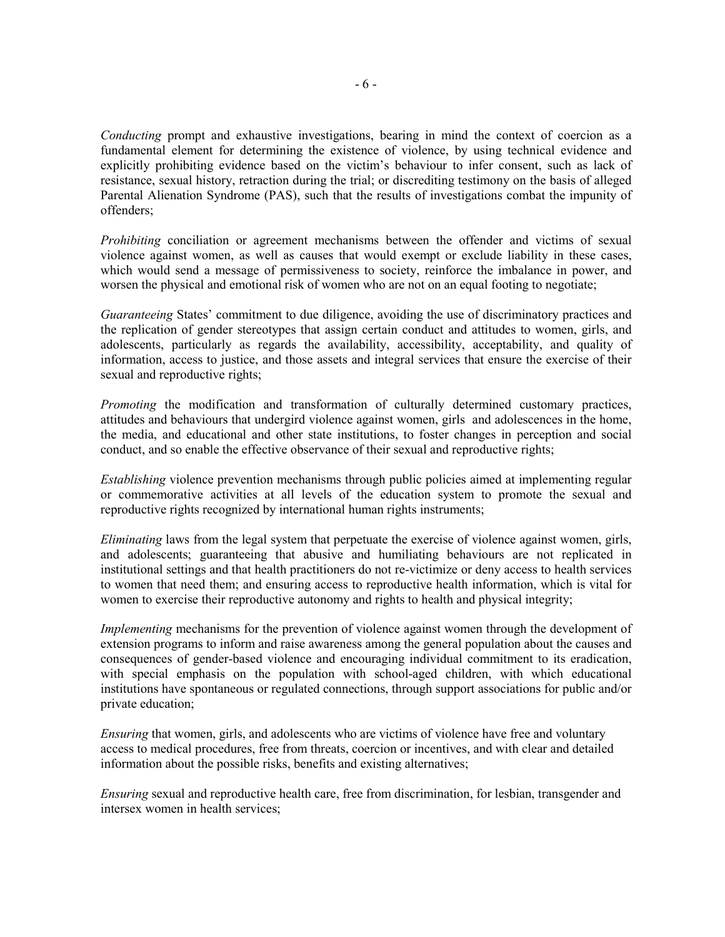*Conducting* prompt and exhaustive investigations, bearing in mind the context of coercion as a fundamental element for determining the existence of violence, by using technical evidence and explicitly prohibiting evidence based on the victim's behaviour to infer consent, such as lack of resistance, sexual history, retraction during the trial; or discrediting testimony on the basis of alleged Parental Alienation Syndrome (PAS), such that the results of investigations combat the impunity of offenders;

*Prohibiting* conciliation or agreement mechanisms between the offender and victims of sexual violence against women, as well as causes that would exempt or exclude liability in these cases, which would send a message of permissiveness to society, reinforce the imbalance in power, and worsen the physical and emotional risk of women who are not on an equal footing to negotiate;

*Guaranteeing* States' commitment to due diligence, avoiding the use of discriminatory practices and the replication of gender stereotypes that assign certain conduct and attitudes to women, girls, and adolescents, particularly as regards the availability, accessibility, acceptability, and quality of information, access to justice, and those assets and integral services that ensure the exercise of their sexual and reproductive rights;

*Promoting* the modification and transformation of culturally determined customary practices, attitudes and behaviours that undergird violence against women, girls and adolescences in the home, the media, and educational and other state institutions, to foster changes in perception and social conduct, and so enable the effective observance of their sexual and reproductive rights;

*Establishing* violence prevention mechanisms through public policies aimed at implementing regular or commemorative activities at all levels of the education system to promote the sexual and reproductive rights recognized by international human rights instruments;

*Eliminating* laws from the legal system that perpetuate the exercise of violence against women, girls, and adolescents; guaranteeing that abusive and humiliating behaviours are not replicated in institutional settings and that health practitioners do not re-victimize or deny access to health services to women that need them; and ensuring access to reproductive health information, which is vital for women to exercise their reproductive autonomy and rights to health and physical integrity;

*Implementing* mechanisms for the prevention of violence against women through the development of extension programs to inform and raise awareness among the general population about the causes and consequences of gender-based violence and encouraging individual commitment to its eradication, with special emphasis on the population with school-aged children, with which educational institutions have spontaneous or regulated connections, through support associations for public and/or private education;

*Ensuring* that women, girls, and adolescents who are victims of violence have free and voluntary access to medical procedures, free from threats, coercion or incentives, and with clear and detailed information about the possible risks, benefits and existing alternatives;

*Ensuring* sexual and reproductive health care, free from discrimination, for lesbian, transgender and intersex women in health services;